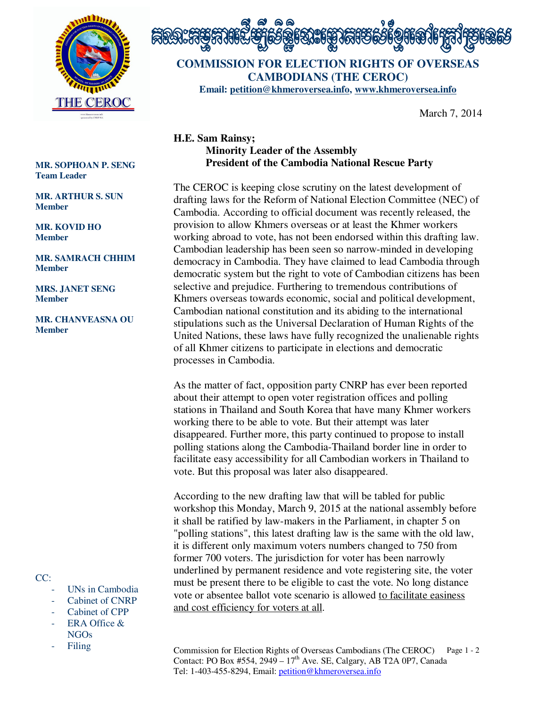



**COMMISSION FOR ELECTION RIGHTS OF OVERSEAS CAMBODIANS (THE CEROC) Email: petition@khmeroversea.info, www.khmeroversea.info**

March 7, 2014

## **H.E. Sam Rainsy; Minority Leader of the Assembly President of the Cambodia National Rescue Party**

The CEROC is keeping close scrutiny on the latest development of drafting laws for the Reform of National Election Committee (NEC) of Cambodia. According to official document was recently released, the provision to allow Khmers overseas or at least the Khmer workers working abroad to vote, has not been endorsed within this drafting law. Cambodian leadership has been seen so narrow-minded in developing democracy in Cambodia. They have claimed to lead Cambodia through democratic system but the right to vote of Cambodian citizens has been selective and prejudice. Furthering to tremendous contributions of Khmers overseas towards economic, social and political development, Cambodian national constitution and its abiding to the international stipulations such as the Universal Declaration of Human Rights of the United Nations, these laws have fully recognized the unalienable rights of all Khmer citizens to participate in elections and democratic processes in Cambodia.

As the matter of fact, opposition party CNRP has ever been reported about their attempt to open voter registration offices and polling stations in Thailand and South Korea that have many Khmer workers working there to be able to vote. But their attempt was later disappeared. Further more, this party continued to propose to install polling stations along the Cambodia-Thailand border line in order to facilitate easy accessibility for all Cambodian workers in Thailand to vote. But this proposal was later also disappeared.

According to the new drafting law that will be tabled for public workshop this Monday, March 9, 2015 at the national assembly before it shall be ratified by law-makers in the Parliament, in chapter 5 on "polling stations", this latest drafting law is the same with the old law, it is different only maximum voters numbers changed to 750 from former 700 voters. The jurisdiction for voter has been narrowly underlined by permanent residence and vote registering site, the voter must be present there to be eligible to cast the vote. No long distance vote or absentee ballot vote scenario is allowed to facilitate easiness and cost efficiency for voters at all.

Commission for Election Rights of Overseas Cambodians (The CEROC) Page 1 - 2 Contact: PO Box #554,  $2949 - 17<sup>th</sup>$  Ave. SE, Calgary, AB T2A 0P7, Canada Tel: 1-403-455-8294, Email: petition@khmeroversea.info

## **MR. SOPHOAN P. SENG Team Leader**

**MR. ARTHUR S. SUN Member** 

## **MR. KOVID HO Member**

**MR. SAMRACH CHHIM Member** 

**MRS. JANET SENG Member** 

**MR. CHANVEASNA OU Member** 

CC:

- UNs in Cambodia
- Cabinet of CNRP
- Cabinet of CPP
- ERA Office & NGOs
- **Filing**